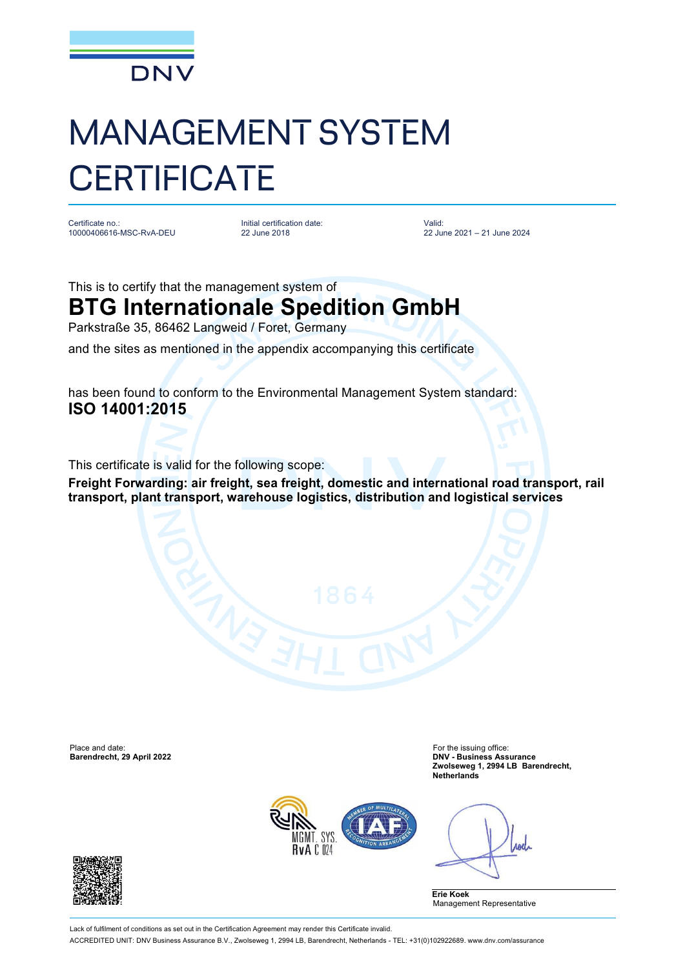

## MANAGEMENT SYSTEM **CERTIFICATE**

Certificate no.: 10000406616-MSC-RvA-DEU Initial certification date: 22 June 2018

Valid: 22 June 2021 – 21 June 2024

This is to certify that the management system of

## **BTG Internationale Spedition GmbH**

Parkstraße 35, 86462 Langweid / Foret, Germany

and the sites as mentioned in the appendix accompanying this certificate

has been found to conform to the Environmental Management System standard: **ISO 14001:2015**

This certificate is valid for the following scope:

**Freight Forwarding: air freight, sea freight, domestic and international road transport, rail transport, plant transport, warehouse logistics, distribution and logistical services**

Place and date: For the issuing office: For the issuing office:

**Barendrecht, 29 April 2022 DNV - Business Assurance Zwolseweg 1, 2994 LB Barendrecht, Netherlands**



Anel

**Erie Koek** Management Representative